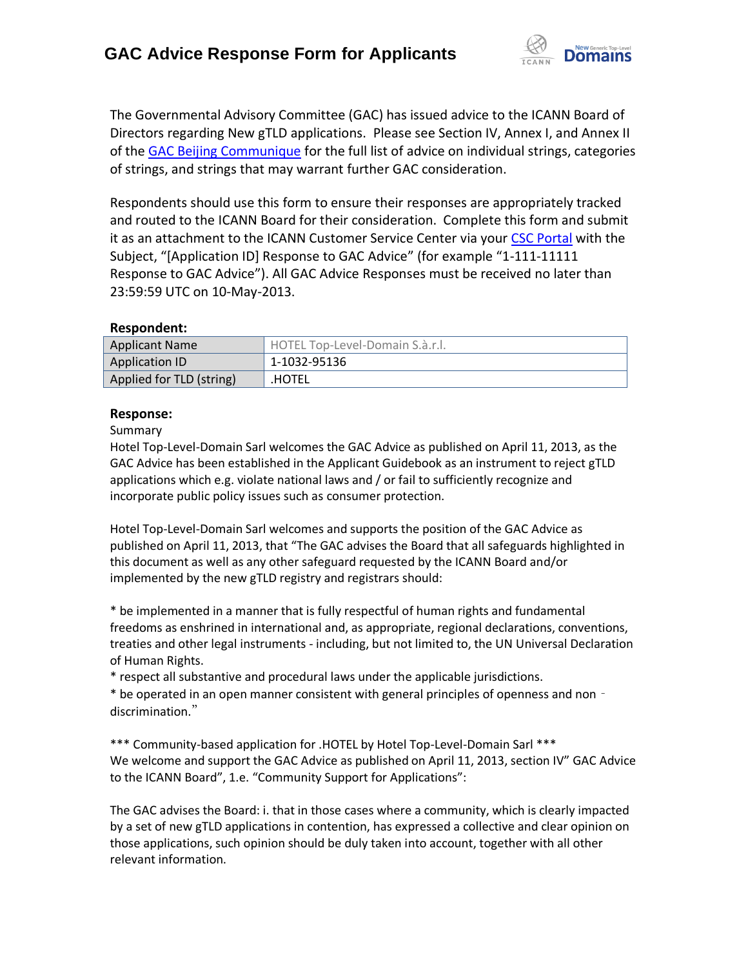

The Governmental Advisory Committee (GAC) has issued advice to the ICANN Board of Directors regarding New gTLD applications. Please see Section IV, Annex I, and Annex II of the [GAC Beijing Communique](http://www.icann.org/en/news/correspondence/gac-to-board-18apr13-en.pdf) for the full list of advice on individual strings, categories of strings, and strings that may warrant further GAC consideration.

Respondents should use this form to ensure their responses are appropriately tracked and routed to the ICANN Board for their consideration. Complete this form and submit it as an attachment to the ICANN Customer Service Center via your CSC [Portal](https://myicann.secure.force.com/) with the Subject, "[Application ID] Response to GAC Advice" (for example "1-111-11111 Response to GAC Advice"). All GAC Advice Responses must be received no later than 23:59:59 UTC on 10-May-2013.

### **Respondent:**

| <b>Applicant Name</b>    | HOTEL Top-Level-Domain S.à.r.l. |
|--------------------------|---------------------------------|
| Application ID           | 1-1032-95136                    |
| Applied for TLD (string) | .HOTEL                          |

### **Response:**

Summary

Hotel Top-Level-Domain Sarl welcomes the GAC Advice as published on April 11, 2013, as the GAC Advice has been established in the Applicant Guidebook as an instrument to reject gTLD applications which e.g. violate national laws and / or fail to sufficiently recognize and incorporate public policy issues such as consumer protection.

Hotel Top-Level-Domain Sarl welcomes and supports the position of the GAC Advice as published on April 11, 2013, that "The GAC advises the Board that all safeguards highlighted in this document as well as any other safeguard requested by the ICANN Board and/or implemented by the new gTLD registry and registrars should:

\* be implemented in a manner that is fully respectful of human rights and fundamental freedoms as enshrined in international and, as appropriate, regional declarations, conventions, treaties and other legal instruments - including, but not limited to, the UN Universal Declaration of Human Rights.

\* respect all substantive and procedural laws under the applicable jurisdictions.

\* be operated in an open manner consistent with general principles of openness and non‐ discrimination."

\*\*\* Community-based application for .HOTEL by Hotel Top-Level-Domain Sarl \*\*\* We welcome and support the GAC Advice as published on April 11, 2013, section IV" GAC Advice to the ICANN Board", 1.e. "Community Support for Applications":

The GAC advises the Board: i. that in those cases where a community, which is clearly impacted by a set of new gTLD applications in contention, has expressed a collective and clear opinion on those applications, such opinion should be duly taken into account, together with all other relevant information.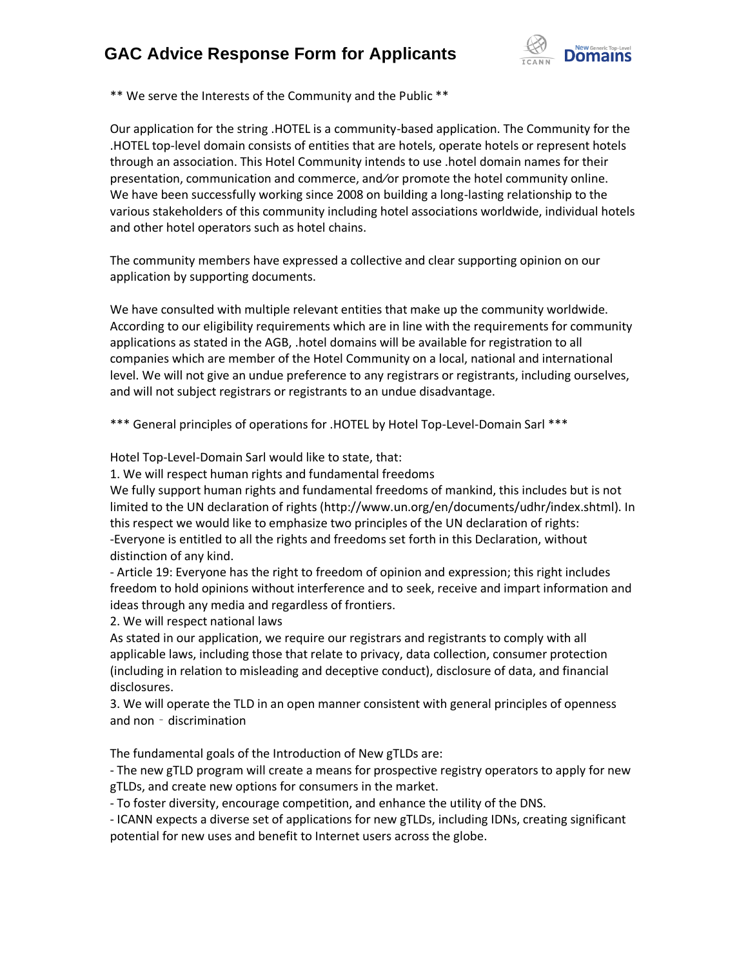# **GAC Advice Response Form for Applicants**



\*\* We serve the Interests of the Community and the Public \*\*

Our application for the string .HOTEL is a community-based application. The Community for the .HOTEL top-level domain consists of entities that are hotels, operate hotels or represent hotels through an association. This Hotel Community intends to use .hotel domain names for their presentation, communication and commerce, and⁄or promote the hotel community online. We have been successfully working since 2008 on building a long-lasting relationship to the various stakeholders of this community including hotel associations worldwide, individual hotels and other hotel operators such as hotel chains.

The community members have expressed a collective and clear supporting opinion on our application by supporting documents.

We have consulted with multiple relevant entities that make up the community worldwide. According to our eligibility requirements which are in line with the requirements for community applications as stated in the AGB, .hotel domains will be available for registration to all companies which are member of the Hotel Community on a local, national and international level. We will not give an undue preference to any registrars or registrants, including ourselves, and will not subject registrars or registrants to an undue disadvantage.

\*\*\* General principles of operations for .HOTEL by Hotel Top-Level-Domain Sarl \*\*\*

Hotel Top-Level-Domain Sarl would like to state, that:

1. We will respect human rights and fundamental freedoms

We fully support human rights and fundamental freedoms of mankind, this includes but is not limited to the UN declaration of rights (http://www.un.org/en/documents/udhr/index.shtml). In this respect we would like to emphasize two principles of the UN declaration of rights: -Everyone is entitled to all the rights and freedoms set forth in this Declaration, without distinction of any kind.

- Article 19: Everyone has the right to freedom of opinion and expression; this right includes freedom to hold opinions without interference and to seek, receive and impart information and ideas through any media and regardless of frontiers.

2. We will respect national laws

As stated in our application, we require our registrars and registrants to comply with all applicable laws, including those that relate to privacy, data collection, consumer protection (including in relation to misleading and deceptive conduct), disclosure of data, and financial disclosures.

3. We will operate the TLD in an open manner consistent with general principles of openness and non - discrimination

The fundamental goals of the Introduction of New gTLDs are:

- The new gTLD program will create a means for prospective registry operators to apply for new gTLDs, and create new options for consumers in the market.

- To foster diversity, encourage competition, and enhance the utility of the DNS.

- ICANN expects a diverse set of applications for new gTLDs, including IDNs, creating significant potential for new uses and benefit to Internet users across the globe.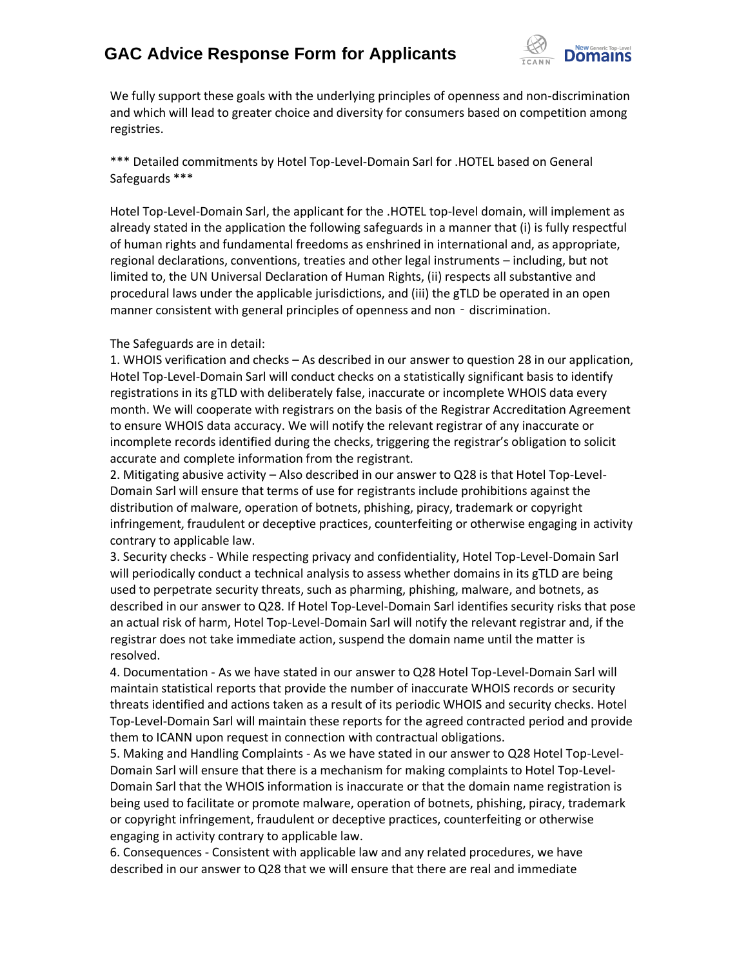## **GAC Advice Response Form for Applicants**



We fully support these goals with the underlying principles of openness and non-discrimination and which will lead to greater choice and diversity for consumers based on competition among registries.

\*\*\* Detailed commitments by Hotel Top-Level-Domain Sarl for .HOTEL based on General Safeguards \*\*\*

Hotel Top-Level-Domain Sarl, the applicant for the .HOTEL top-level domain, will implement as already stated in the application the following safeguards in a manner that (i) is fully respectful of human rights and fundamental freedoms as enshrined in international and, as appropriate, regional declarations, conventions, treaties and other legal instruments – including, but not limited to, the UN Universal Declaration of Human Rights, (ii) respects all substantive and procedural laws under the applicable jurisdictions, and (iii) the gTLD be operated in an open manner consistent with general principles of openness and non - discrimination.

#### The Safeguards are in detail:

1. WHOIS verification and checks – As described in our answer to question 28 in our application, Hotel Top-Level-Domain Sarl will conduct checks on a statistically significant basis to identify registrations in its gTLD with deliberately false, inaccurate or incomplete WHOIS data every month. We will cooperate with registrars on the basis of the Registrar Accreditation Agreement to ensure WHOIS data accuracy. We will notify the relevant registrar of any inaccurate or incomplete records identified during the checks, triggering the registrar's obligation to solicit accurate and complete information from the registrant.

2. Mitigating abusive activity – Also described in our answer to Q28 is that Hotel Top-Level-Domain Sarl will ensure that terms of use for registrants include prohibitions against the distribution of malware, operation of botnets, phishing, piracy, trademark or copyright infringement, fraudulent or deceptive practices, counterfeiting or otherwise engaging in activity contrary to applicable law.

3. Security checks - While respecting privacy and confidentiality, Hotel Top-Level-Domain Sarl will periodically conduct a technical analysis to assess whether domains in its gTLD are being used to perpetrate security threats, such as pharming, phishing, malware, and botnets, as described in our answer to Q28. If Hotel Top-Level-Domain Sarl identifies security risks that pose an actual risk of harm, Hotel Top-Level-Domain Sarl will notify the relevant registrar and, if the registrar does not take immediate action, suspend the domain name until the matter is resolved.

4. Documentation - As we have stated in our answer to Q28 Hotel Top-Level-Domain Sarl will maintain statistical reports that provide the number of inaccurate WHOIS records or security threats identified and actions taken as a result of its periodic WHOIS and security checks. Hotel Top-Level-Domain Sarl will maintain these reports for the agreed contracted period and provide them to ICANN upon request in connection with contractual obligations.

5. Making and Handling Complaints - As we have stated in our answer to Q28 Hotel Top-Level-Domain Sarl will ensure that there is a mechanism for making complaints to Hotel Top-Level-Domain Sarl that the WHOIS information is inaccurate or that the domain name registration is being used to facilitate or promote malware, operation of botnets, phishing, piracy, trademark or copyright infringement, fraudulent or deceptive practices, counterfeiting or otherwise engaging in activity contrary to applicable law.

6. Consequences - Consistent with applicable law and any related procedures, we have described in our answer to Q28 that we will ensure that there are real and immediate